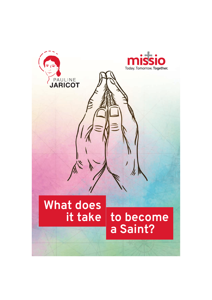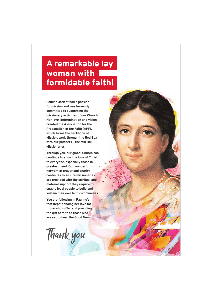# A remarkable lay woman with formidable faith!

**Pauline Jaricot had a passion for mission and was fervently committed to supporting the missionary activities of our Church. Her love, determination and vision created the Association for the Propagation of the Faith (APF), which forms the backbone of Missio's work through the Red Box with our partners – the Mill Hill Missionaries.** 

**Through you, our global Church can continue to show the love of Christ to everyone, especially those in greatest need. Our wonderful network of prayer and charity continues to ensure missionaries are provided with the spiritual and material support they require to enable local people to build and sustain their own faith communities.**

**You are following in Pauline's footsteps; echoing her love for those who suffer and providing the gift of faith to those who are yet to hear the Good News.**

Thank you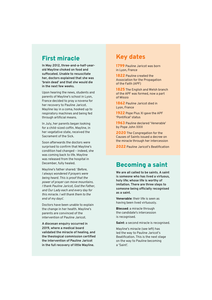## First miracle

**In May 2012, three-and-a-half-yearold Mayline choked on food and suffocated. Unable to resuscitate her, doctors explained that she was 'brain dead' and that she would die in the next few weeks.**

Upon hearing the news, students and parents of Mayline's school in Lyon, France decided to pray a novena for her recovery to Pauline Jaricot. Mayline lay in a coma, hooked up to respiratory machines and being fed through artificial means.

In July, her parents began looking for a child-sized coffin. Mayline, in her vegetative state, received the Sacrament of the Sick.

Soon afterwards the doctors were surprised to confirm that Mayline's condition had changed – indeed, she was coming back to life. Mayline was released from the hospital in December, fully healed.

Mayline's father shared: '*Before, I always wondered if prayers were being heard. This is proof that the power of prayer can move mountains. I thank Pauline Jaricot, God the Father, and Our Lady each and every day for this miracle. I will thank them to the end of my days*'.

Doctors have been unable to explain the change in her health. Mayline's parents are convinced of the intervention of Pauline Jaricot.

**A diocesan enquiry occurred in 2019, where a medical board validated the miracle of healing, and the theological commission certified the intervention of Pauline Jaricot in the full recovery of little Mayline.**

## Key dates

1799 Pauline Jaricot was born in Lyon, France

1822 Pauline created the Association for the Propagation of the Faith (APF)

1825 The English and Welsh branch of the APF was formed, now a part of Missio

1862 Pauline Jaricot died in Lyon, France

1922 Pope Pius XI gave the APF 'Pontifical' status

1963 Pauline declared 'Venerable' by Pope John XXIII

2020 The Congregation for the Causes of Saints issued a decree on the miracle through her intercession

2022 Pauline Jaricot's Beatification

## Becoming a saint

**We are all called to be saints. A saint is someone who has lived a virtuous, holy life; whose life is worthy of imitation. There are three steps to someone being officially recognised as a saint.** 

Venerable: their life is seen as having been lived virtuously.

Blessed: a miracle through the candidate's intercession is recognised.

Saint: a second miracle is recognised.

Mayline's miracle (see left) has led the way to Pauline Jaricot's Beatification. This is the next stage on the way to Pauline becoming a 'Saint'.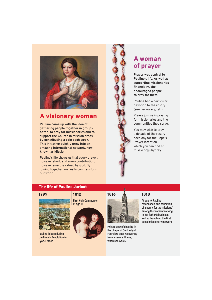

## A visionary woman

**Pauline came up with the idea of gathering people together in groups of ten, to pray for missionaries and to support the Church in mission areas by contributing a coin each week. This initiative quickly grew into an amazing international network, now known as Missio.** 

Pauline's life shows us that every prayer, however short, and every contribution, however small, is valued by God. By joining together, we really can transform our world.

## A woman of prayer

**Prayer was central to Pauline's life. As well as supporting missionaries financially, she encouraged people to pray for them.**

Pauline had a particular devotion to the rosary (see her rosary, left).

Please join us in praying for missionaries and the communities they serve.

You may wish to pray a decade of the rosary each day for the Pope's Prayer Intention, which you can find at **missio.org.uk/pray**

### The life of Pauline Jaricot



**Pauline is born during the French Revolution in Lyon, France**

**First Holy Communion at age 13**





**Private vow of chastity in the chapel of Our Lady of Fourvière after recovering from a severe illness, when she was 17**

**At age 19, Pauline established 'the collection of a penny for the missions' among the women working in her father's business, and so launching the first social missionary network**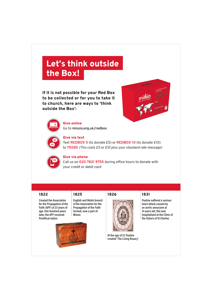# Let's think outside the Box!

If it is not possible for your Red Box to be collected or for you to take it to church, here are ways to 'think outside the Box':





Give online Go to **missio.org.uk/redbox**



### Give via text

Text **REDBOX 5** (to donate £5) or **REDBOX 10** (to donate £10) to **70085** *(This costs £5 or £10 plus your standard rate message)*



### Give via phone

Call us on **020 7821 9755** during office hours to donate with your credit or debit card

### 1822 1825 1826 1831

**Created the Association for the Propagation of the Faith (APF) at 23 years of age. One hundred years later, the APF received Pontifical status** 

**English and Welsh branch of the Association for the Propagation of the Faith formed, now a part of Missio**





**At the age of 27, Pauline created 'The Living Rosary'**

**Pauline suffered a serious heart attack caused by an aortic aneurysm at 31 years old. She was hospitalised at the Clinic of the Sisters of St Charles**